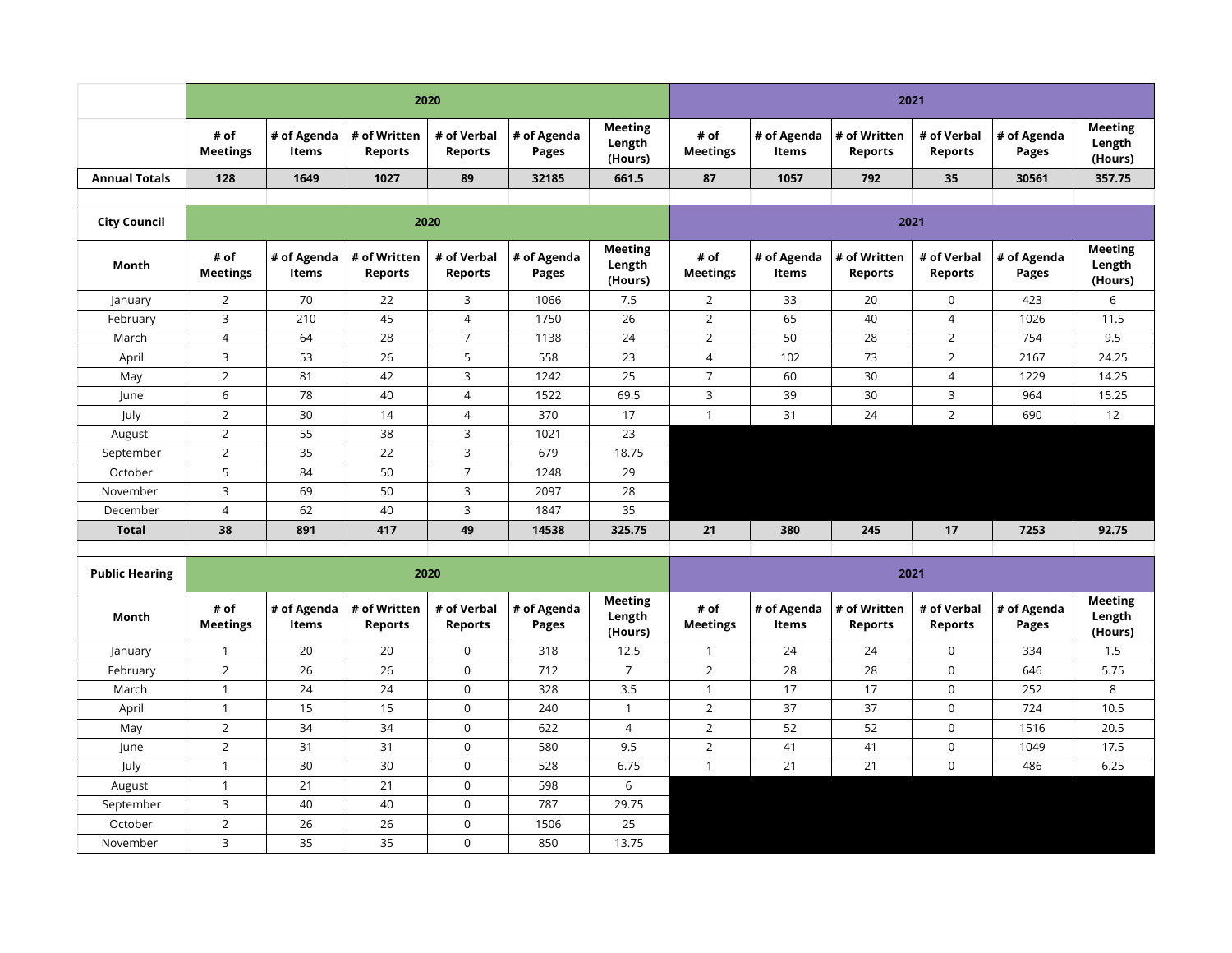|                      |                         | 2020  |                                                                                |                |                         |                                     |                         |                              | 2021                                   |                               |                      |                                     |  |  |
|----------------------|-------------------------|-------|--------------------------------------------------------------------------------|----------------|-------------------------|-------------------------------------|-------------------------|------------------------------|----------------------------------------|-------------------------------|----------------------|-------------------------------------|--|--|
|                      | # of<br><b>Meetings</b> | Items | $\vert$ # of Agenda $\vert$ # of Written $\vert$ # of Verbal<br><b>Reports</b> | <b>Reports</b> | $\#$ of Agenda<br>Pages | <b>Meeting</b><br>Length<br>(Hours) | # of<br><b>Meetings</b> | ∣# of Agenda<br><b>Items</b> | $\vert$ # of Written<br><b>Reports</b> | # of Verbal<br><b>Reports</b> | # of Agenda<br>Pages | <b>Meeting</b><br>Length<br>(Hours) |  |  |
| <b>Annual Totals</b> | 128                     | 1649  | 1027                                                                           | 89             | 32185                   | 661.5                               | 87                      | 1057                         | 792                                    | 35                            | 30561                | 357.75                              |  |  |
|                      |                         |       |                                                                                |                |                         |                                     |                         |                              |                                        |                               |                      |                                     |  |  |

| <b>City Council</b>   |                         |                             |                                | 2020                          |                             |                                     | 2021                    |                             |                                |                               |                             |                                     |  |
|-----------------------|-------------------------|-----------------------------|--------------------------------|-------------------------------|-----------------------------|-------------------------------------|-------------------------|-----------------------------|--------------------------------|-------------------------------|-----------------------------|-------------------------------------|--|
| Month                 | # of<br><b>Meetings</b> | # of Agenda<br>Items        | # of Written<br><b>Reports</b> | # of Verbal<br><b>Reports</b> | # of Agenda<br><b>Pages</b> | <b>Meeting</b><br>Length<br>(Hours) | # of<br><b>Meetings</b> | # of Agenda<br>Items        | # of Written<br><b>Reports</b> | # of Verbal<br><b>Reports</b> | # of Agenda<br><b>Pages</b> | <b>Meeting</b><br>Length<br>(Hours) |  |
| January               | $\overline{2}$          | 70                          | 22                             | 3                             | 1066                        | 7.5                                 | $\overline{2}$          | 33                          | 20                             | $\mathbf 0$                   | 423                         | 6                                   |  |
| February              | 3                       | 210                         | 45                             | $\overline{4}$                | 1750                        | 26                                  | $\overline{2}$          | 65                          | 40                             | 4                             | 1026                        | 11.5                                |  |
| March                 | $\overline{4}$          | 64                          | 28                             | $\overline{7}$                | 1138                        | 24                                  | $\overline{2}$          | 50                          | 28                             | $\overline{2}$                | 754                         | 9.5                                 |  |
| April                 | 3                       | 53                          | 26                             | 5                             | 558                         | 23                                  | 4                       | 102                         | 73                             | 2                             | 2167                        | 24.25                               |  |
| May                   | $\overline{2}$          | 81                          | 42                             | 3                             | 1242                        | 25                                  | $\overline{7}$          | 60                          | 30                             | 4                             | 1229                        | 14.25                               |  |
| June                  | 6                       | 78                          | 40                             | 4                             | 1522                        | 69.5                                | 3                       | 39                          | 30                             | 3                             | 964                         | 15.25                               |  |
| July                  | $\overline{2}$          | 30                          | 14                             | 4                             | 370                         | 17                                  | $\mathbf{1}$            | 31                          | 24                             | $\overline{2}$                | 690                         | 12                                  |  |
| August                | $\overline{2}$          | 55                          | 38                             | 3                             | 1021                        | 23                                  |                         |                             |                                |                               |                             |                                     |  |
| September             | $\overline{2}$          | 35                          | 22                             | 3                             | 679                         | 18.75                               |                         |                             |                                |                               |                             |                                     |  |
| October               | 5                       | 84                          | 50                             | $\overline{7}$                | 1248                        | 29                                  |                         |                             |                                |                               |                             |                                     |  |
| November              | 3                       | 69                          | 50                             | 3                             | 2097                        | 28                                  |                         |                             |                                |                               |                             |                                     |  |
| December              | 4                       | 62                          | 40                             | 3                             | 1847                        | 35                                  |                         |                             |                                |                               |                             |                                     |  |
| <b>Total</b>          | 38                      | 891                         | 417                            | 49                            | 14538                       | 325.75                              | 21                      | 380                         | 245                            | 17                            | 7253                        | 92.75                               |  |
|                       |                         |                             |                                |                               |                             |                                     |                         |                             |                                |                               |                             |                                     |  |
| <b>Public Hearing</b> |                         |                             |                                | 2020                          |                             |                                     |                         |                             |                                | 2021                          |                             |                                     |  |
| Month                 | # of<br><b>Meetings</b> | # of Agenda<br><b>Items</b> | # of Written<br><b>Reports</b> | # of Verbal<br><b>Reports</b> | # of Agenda<br><b>Pages</b> | <b>Meeting</b><br>Length<br>(Hours) | # of<br><b>Meetings</b> | # of Agenda<br><b>Items</b> | # of Written<br><b>Reports</b> | # of Verbal<br><b>Reports</b> | # of Agenda<br><b>Pages</b> | <b>Meeting</b><br>Length<br>(Hours) |  |
| January               | -1                      | 20                          | 20                             | $\mathbf 0$                   | 318                         | 12.5                                | $\mathbf{1}$            | 24                          | 24                             | $\mathbf 0$                   | 334                         | 1.5                                 |  |
| February              | $\overline{2}$          | 26                          | 26                             | $\mathbf 0$                   | 712                         | $\overline{7}$                      | $\overline{2}$          | 28                          | 28                             | $\mathbf 0$                   | 646                         | 5.75                                |  |
| March                 | $\mathbf{1}$            | 24                          | 24                             | 0                             | 328                         | 3.5                                 | $\mathbf{1}$            | 17                          | 17                             | $\mathbf 0$                   | 252                         | 8                                   |  |
| April                 | 1                       | 15                          | 15                             | $\Omega$                      | 240                         | $\mathbf{1}$                        | $\overline{2}$          | 37                          | 37                             | $\Omega$                      | 724                         | 10.5                                |  |

May | 2 | 34 | 34 | 0 | 622 | 4 | 2 | 52 | 52 | 0 | 1516 | 20.5 June | 2 | 31 | 31 | 0 | 580 | 9.5 | 2 | 41 | 41 | 0 | 1049 | 17.5 July | 1 | 30 | 30 | 0 | 528 | 6.75 | 1 | 21 | 21 | 0 | 486 | 6.25

August | 1 | 21 | 21 | 0 | 598 | 6 September 3 40 40 0 787 29.75 October | 2 | 26 | 26 | 0 | 1506 | 25 November | 3 | 35 | 35 | 0 | 850 | 13.75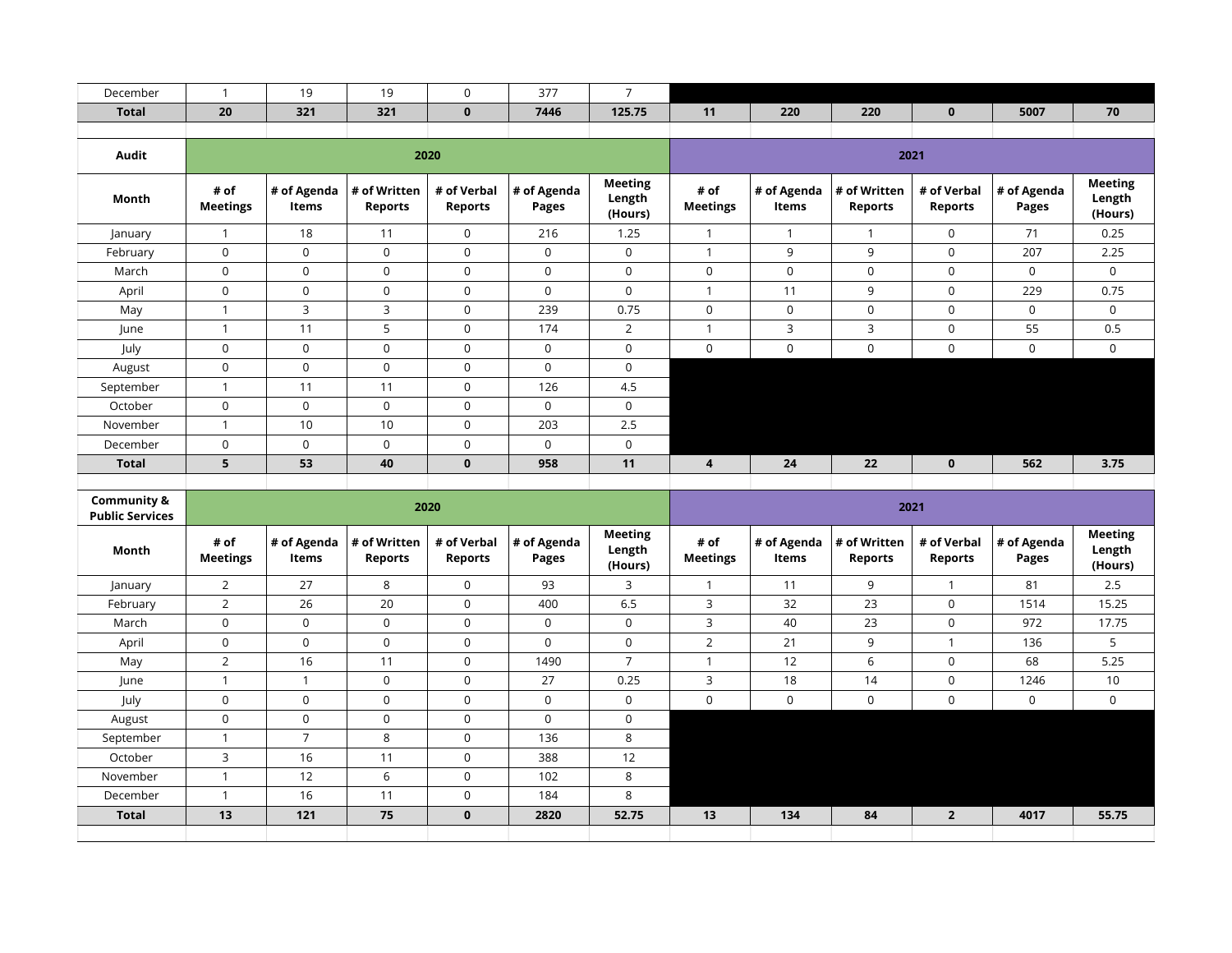| December     |                         | 19                   | 19                      | $\mathbf 0$                   | 377                  | $\overline{7}$                      |                         |                      |                                |                        |                      |                                     |  |  |
|--------------|-------------------------|----------------------|-------------------------|-------------------------------|----------------------|-------------------------------------|-------------------------|----------------------|--------------------------------|------------------------|----------------------|-------------------------------------|--|--|
|              |                         |                      |                         |                               |                      |                                     |                         |                      |                                |                        |                      |                                     |  |  |
| <b>Total</b> | 20                      | 321                  | 321                     | $\mathbf{0}$                  | 7446                 | 125.75                              | 11                      | 220                  | 220                            | $\mathbf{0}$           | 5007                 | 70                                  |  |  |
|              |                         |                      |                         |                               |                      |                                     |                         |                      |                                |                        |                      |                                     |  |  |
| Audit        |                         |                      |                         | 2020                          |                      |                                     | 2021                    |                      |                                |                        |                      |                                     |  |  |
| Month        | # of<br><b>Meetings</b> | # of Agenda<br>Items | # of Written<br>Reports | # of Verbal<br><b>Reports</b> | # of Agenda<br>Pages | <b>Meeting</b><br>Length<br>(Hours) | # of<br><b>Meetings</b> | # of Agenda<br>Items | # of Written<br><b>Reports</b> | # of Verbal<br>Reports | # of Agenda<br>Pages | <b>Meeting</b><br>Length<br>(Hours) |  |  |
| January      |                         | 18                   | 11                      | $\mathbf 0$                   | 216                  | 1.25                                |                         | $\mathbf{1}$         | 1                              | $\mathbf 0$            | 71                   | 0.25                                |  |  |
| February     | $\mathbf 0$             | 0                    | $\mathbf 0$             | $\mathbf 0$                   | $\mathbf 0$          | $\mathbf 0$                         |                         | 9                    | 9                              | $\mathbf 0$            | 207                  | 2.25                                |  |  |
| March        | $\mathbf 0$             | 0                    | $\mathbf 0$             | $\mathbf 0$                   | 0                    | $\mathbf 0$                         | 0                       | $\mathbf 0$          | 0                              | $\mathbf 0$            | $\mathbf 0$          | 0                                   |  |  |
| April        | $\mathsf 0$             | 0                    | $\mathbf 0$             | $\mathbf 0$                   | $\mathbf 0$          | $\mathbf 0$                         |                         | 11                   | 9                              | $\mathbf 0$            | 229                  | 0.75                                |  |  |
| May          |                         | 3                    | 3                       | $\mathbf 0$                   | 239                  | 0.75                                | 0                       | $\mathbf 0$          | 0                              | $\mathbf 0$            | $\mathbf 0$          | 0                                   |  |  |
| June         |                         | 11                   | 5                       | 0                             | 174                  | 2                                   |                         | 3                    | 3                              | $\mathbf 0$            | 55                   | 0.5                                 |  |  |
| July         | $\mathbf 0$             | 0                    | $\mathbf 0$             | $\mathbf 0$                   | $\mathbf 0$          | $\mathsf{O}$                        | 0                       | $\mathbf 0$          | $\mathbf 0$                    | $\mathbf 0$            | $\mathbf 0$          | 0                                   |  |  |
| August       | $\mathsf 0$             | 0                    | $\mathbf 0$             | $\mathbf 0$                   | $\mathbf 0$          | 0                                   |                         |                      |                                |                        |                      |                                     |  |  |
| September    | $\mathbf{1}$            | 11                   | 11                      | $\mathbf 0$                   | 126                  | 4.5                                 |                         |                      |                                |                        |                      |                                     |  |  |
| October      | $\mathbf 0$             | 0                    | $\mathbf 0$             | $\mathbf 0$                   | $\mathbf 0$          | $\mathsf{O}$                        |                         |                      |                                |                        |                      |                                     |  |  |
| November     | $\mathbf{1}$            | 10                   | 10                      | $\mathbf 0$                   | 203                  | 2.5                                 |                         |                      |                                |                        |                      |                                     |  |  |
| December     | $\mathbf 0$             | 0                    | $\mathbf 0$             | $\mathbf 0$                   | $\mathbf 0$          | $\mathsf{O}$                        |                         |                      |                                |                        |                      |                                     |  |  |
| <b>Total</b> | 5                       | 53                   | 40                      | $\mathbf 0$                   | 958                  | 11                                  | 4                       | 24                   | 22                             | $\mathbf{0}$           | 562                  | 3.75                                |  |  |
|              |                         |                      |                         |                               |                      |                                     |                         |                      |                                |                        |                      |                                     |  |  |

| <b>Community &amp;</b><br><b>Public Services</b> |                         |                              |                                | 2020                          |                      |                                     | 2021                    |                      |                                |                               |                      |                                     |  |
|--------------------------------------------------|-------------------------|------------------------------|--------------------------------|-------------------------------|----------------------|-------------------------------------|-------------------------|----------------------|--------------------------------|-------------------------------|----------------------|-------------------------------------|--|
| Month                                            | # of<br><b>Meetings</b> | $\vert$ # of Agenda<br>Items | # of Written<br><b>Reports</b> | # of Verbal<br><b>Reports</b> | # of Agenda<br>Pages | <b>Meeting</b><br>Length<br>(Hours) | # of<br><b>Meetings</b> | # of Agenda<br>Items | # of Written<br><b>Reports</b> | # of Verbal<br><b>Reports</b> | # of Agenda<br>Pages | <b>Meeting</b><br>Length<br>(Hours) |  |
| January                                          | $\overline{2}$          | 27                           | 8                              | $\mathbf 0$                   | 93                   | 3                                   |                         | 11                   | 9                              |                               | 81                   | 2.5                                 |  |
| February                                         | $\overline{2}$          | 26                           | 20                             | $\mathbf 0$                   | 400                  | 6.5                                 | 3                       | 32                   | 23                             | $\mathbf 0$                   | 1514                 | 15.25                               |  |
| March                                            | $\mathbf 0$             | $\Omega$                     | $\Omega$                       | $\Omega$                      | $\overline{0}$       | $\mathbf 0$                         | 3                       | 40                   | 23                             | $\mathbf 0$                   | 972                  | 17.75                               |  |
| April                                            | $\mathbf 0$             | $\Omega$                     | $\mathbf 0$                    | $\Omega$                      | $\overline{0}$       | $\mathbf 0$                         | 2                       | 21                   | 9                              |                               | 136                  | 5                                   |  |
| May                                              | $\overline{2}$          | 16                           | 11                             | $\Omega$                      | 1490                 | $\overline{7}$                      |                         | 12                   | 6                              | $\mathbf 0$                   | 68                   | 5.25                                |  |
| June                                             | 1                       |                              | 0                              | $\mathbf 0$                   | 27                   | 0.25                                | 3                       | 18                   | 14                             | $\mathbf 0$                   | 1246                 | 10                                  |  |
| July                                             | 0                       | 0                            | 0                              | $\mathbf 0$                   | $\overline{0}$       | 0                                   | 0                       | 0                    | 0                              | $\mathbf 0$                   | 0                    | 0                                   |  |
| August                                           | 0                       | $\mathbf 0$                  | 0                              | $\mathbf 0$                   | $\mathbf 0$          | 0                                   |                         |                      |                                |                               |                      |                                     |  |
| September                                        | 1                       | $\overline{ }$               | 8                              | $\mathbf 0$                   | 136                  | 8                                   |                         |                      |                                |                               |                      |                                     |  |
| October                                          | 3                       | 16                           | 11                             | $\mathbf 0$                   | 388                  | 12                                  |                         |                      |                                |                               |                      |                                     |  |
| November                                         | $\mathbf{A}$            | 12                           | 6                              | $\mathbf 0$                   | 102                  | 8                                   |                         |                      |                                |                               |                      |                                     |  |
| December                                         | $\overline{ }$          | 16                           | 11                             | $\mathbf 0$                   | 184                  | 8                                   |                         |                      |                                |                               |                      |                                     |  |
| <b>Total</b>                                     | 13                      | 121                          | 75                             | $\mathbf 0$                   | 2820                 | 52.75                               | 13                      | 134                  | 84                             | $\overline{2}$                | 4017                 | 55.75                               |  |
|                                                  |                         |                              |                                |                               |                      |                                     |                         |                      |                                |                               |                      |                                     |  |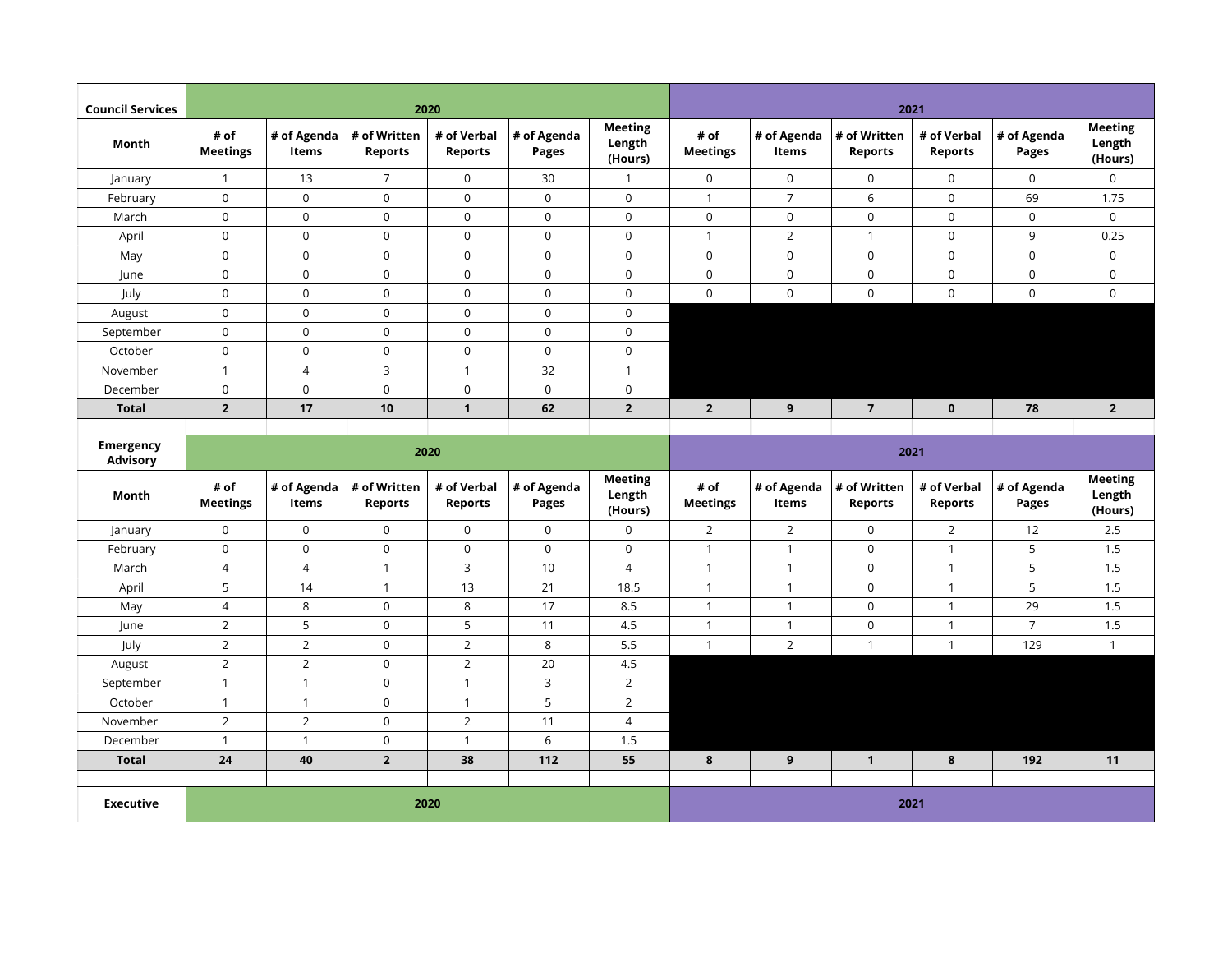| <b>Council Services</b>             |                         |                      |                                | 2020                          |                             |                                     |                         |                      |                                | 2021                          |                      |                                     |
|-------------------------------------|-------------------------|----------------------|--------------------------------|-------------------------------|-----------------------------|-------------------------------------|-------------------------|----------------------|--------------------------------|-------------------------------|----------------------|-------------------------------------|
| Month                               | # of<br><b>Meetings</b> | # of Agenda<br>Items | # of Written<br><b>Reports</b> | # of Verbal<br><b>Reports</b> | # of Agenda<br><b>Pages</b> | <b>Meeting</b><br>Length<br>(Hours) | # of<br><b>Meetings</b> | # of Agenda<br>Items | # of Written<br><b>Reports</b> | # of Verbal<br><b>Reports</b> | # of Agenda<br>Pages | <b>Meeting</b><br>Length<br>(Hours) |
| January                             | $\mathbf{1}$            | 13                   | $\overline{7}$                 | 0                             | 30                          | $\mathbf{1}$                        | 0                       | $\overline{0}$       | $\mathbf 0$                    | $\mathbf 0$                   | $\mathbf 0$          | 0                                   |
| February                            | $\mathbf 0$             | $\mathbf 0$          | $\mathbf 0$                    | $\mathbf{0}$                  | $\mathbf 0$                 | $\mathbf 0$                         | $\mathbf{1}$            | $\overline{7}$       | 6                              | $\mathbf 0$                   | 69                   | 1.75                                |
| March                               | $\mathsf 0$             | $\mathsf{O}$         | $\boldsymbol{0}$               | $\mathbf 0$                   | 0                           | $\mathbf 0$                         | 0                       | $\mathbf 0$          | $\mathsf 0$                    | $\mathsf 0$                   | $\mathbf 0$          | $\mathsf 0$                         |
| April                               | $\mathbf 0$             | $\mathbf 0$          | $\overline{0}$                 | $\mathbf 0$                   | 0                           | $\mathbf 0$                         | $\mathbf{1}$            | $\overline{2}$       | $\mathbf{1}$                   | $\mathbf 0$                   | 9                    | 0.25                                |
| May                                 | $\mathbf 0$             | $\mathsf{O}$         | $\mathbf 0$                    | $\mathbf 0$                   | $\mathsf 0$                 | $\mathbf 0$                         | 0                       | $\mathbf 0$          | $\mathsf 0$                    | $\mathbf 0$                   | $\mathsf{O}\xspace$  | $\mathsf{O}$                        |
| June                                | $\mathbf 0$             | $\mathsf{O}$         | $\boldsymbol{0}$               | $\mathbf 0$                   | $\mathsf 0$                 | $\mathbf 0$                         | 0                       | $\mathbf 0$          | $\mathsf 0$                    | $\mathbf 0$                   | $\mathbf 0$          | $\mathsf{O}$                        |
| July                                | $\mathbf 0$             | $\mathsf{O}$         | $\mathbf 0$                    | $\mathbf 0$                   | $\mathbf 0$                 | $\mathbf 0$                         | $\mathbf 0$             | $\overline{0}$       | $\mathbf 0$                    | $\mathbf 0$                   | $\mathbf 0$          | $\mathbf 0$                         |
| August                              | $\mathsf{O}$            | $\mathsf{O}$         | $\mathbf 0$                    | $\mathbf 0$                   | $\mathbf 0$                 | $\mathbf 0$                         |                         |                      |                                |                               |                      |                                     |
| September                           | $\mathsf{O}$            | $\mathsf{O}$         | $\boldsymbol{0}$               | $\mathbf 0$                   | $\mathsf 0$                 | $\mathbf 0$                         |                         |                      |                                |                               |                      |                                     |
| October                             | $\mathsf{O}\xspace$     | $\mathbf 0$          | $\mathbf 0$                    | $\mathbf 0$                   | $\mathbf 0$                 | $\mathbf 0$                         |                         |                      |                                |                               |                      |                                     |
| November                            | $\mathbf{1}$            | $\overline{4}$       | 3                              | $\mathbf{1}$                  | 32                          | $\overline{1}$                      |                         |                      |                                |                               |                      |                                     |
| December                            | $\mathbf 0$             | $\mathsf{O}$         | $\boldsymbol{0}$               | $\mathsf{O}\xspace$           | $\mathsf 0$                 | $\mathbf 0$                         |                         |                      |                                |                               |                      |                                     |
| <b>Total</b>                        | $\overline{2}$          | 17                   | 10                             | $\mathbf{1}$                  | 62                          | $\overline{2}$                      | $\overline{2}$          | 9                    | $\overline{7}$                 | $\mathbf{0}$                  | 78                   | $\overline{2}$                      |
|                                     |                         |                      |                                |                               |                             |                                     |                         |                      |                                |                               |                      |                                     |
| <b>Emergency</b><br><b>Advisory</b> |                         |                      |                                | 2020                          |                             |                                     |                         |                      | 2021                           |                               |                      |                                     |
|                                     |                         |                      |                                |                               |                             | <b>Meeting</b>                      |                         |                      |                                |                               |                      | <b>Meeting</b>                      |
| Month                               | # of<br><b>Meetings</b> | # of Agenda<br>Items | # of Written<br><b>Reports</b> | # of Verbal<br><b>Reports</b> | # of Agenda<br><b>Pages</b> | Length<br>(Hours)                   | # of<br><b>Meetings</b> | # of Agenda<br>Items | # of Written<br>Reports        | # of Verbal<br><b>Reports</b> | # of Agenda<br>Pages | Length<br>(Hours)                   |
| January                             | $\mathsf{O}$            | $\mathbf 0$          | $\boldsymbol{0}$               | $\mathsf{O}$                  | $\mathbf 0$                 | $\mathbf 0$                         | $\overline{2}$          | 2                    | $\mathbf 0$                    | $\overline{2}$                | 12                   | 2.5                                 |
| February                            | $\mathsf{O}$            | $\mathsf{O}$         | $\pmb{0}$                      | $\mathbf 0$                   | 0                           | $\mathbf 0$                         | $\mathbf{1}$            | $\mathbf{1}$         | $\mathbf 0$                    | $\mathbf{1}$                  | 5                    | 1.5                                 |
| March                               | $\overline{4}$          | $\overline{4}$       | $\mathbf{1}$                   | 3                             | 10                          | $\overline{4}$                      | $\mathbf{1}$            | $\mathbf{1}$         | $\mathbf 0$                    | $\mathbf{1}$                  | 5                    | 1.5                                 |
| April                               | 5                       | 14                   | $\mathbf{1}$                   | 13                            | 21                          | 18.5                                | $\mathbf{1}$            | $\mathbf{1}$         | $\mathbf 0$                    | $\mathbf{1}$                  | 5                    | 1.5                                 |
| May                                 | $\overline{4}$          | 8                    | $\boldsymbol{0}$               | 8                             | 17                          | 8.5                                 | $\mathbf{1}$            | $\mathbf{1}$         | $\mathbf 0$                    | $\overline{1}$                | 29                   | 1.5                                 |
| June                                | $\overline{2}$          | 5                    | $\mathbf 0$                    | 5                             | 11                          | 4.5                                 | $\mathbf{1}$            | $\mathbf{1}$         | $\mathbf 0$                    | $\mathbf{1}$                  | $\overline{7}$       | 1.5                                 |
| July                                | $\overline{2}$          | $\overline{2}$       | $\boldsymbol{0}$               | $\overline{2}$                | 8                           | 5.5                                 | $\mathbf{1}$            | $\overline{2}$       | $\mathbf{1}$                   | $\mathbf{1}$                  | 129                  | $\mathbf{1}$                        |
| August                              | $\overline{2}$          | $\overline{2}$       | $\pmb{0}$                      | $\overline{2}$                | 20                          | 4.5                                 |                         |                      |                                |                               |                      |                                     |
| September                           | $\mathbf{1}$            | $\mathbf{1}$         | $\mathbf 0$                    | $\mathbf{1}$                  | 3                           | $\overline{2}$                      |                         |                      |                                |                               |                      |                                     |
| October                             | $\mathbf{1}$            | $\mathbf{1}$         | $\pmb{0}$                      | $\mathbf{1}$                  | 5                           | $\overline{2}$                      |                         |                      |                                |                               |                      |                                     |
| November                            | $\overline{2}$          | $\overline{2}$       | $\boldsymbol{0}$               | $\overline{2}$                | 11                          | $\overline{4}$                      |                         |                      |                                |                               |                      |                                     |
| December                            | $\mathbf{1}$            | $\mathbf{1}$         | $\mathbf 0$                    | $\mathbf{1}$                  | 6                           | 1.5                                 |                         |                      |                                |                               |                      |                                     |
| <b>Total</b>                        | 24                      | 40                   | $\mathbf 2$                    | 38                            | 112                         | 55                                  | 8                       | 9                    | $\mathbf{1}$                   | 8                             | 192                  | 11                                  |
|                                     |                         |                      |                                |                               |                             |                                     |                         |                      |                                |                               |                      |                                     |
| <b>Executive</b>                    |                         |                      |                                | 2020                          |                             |                                     |                         |                      | 2021                           |                               |                      |                                     |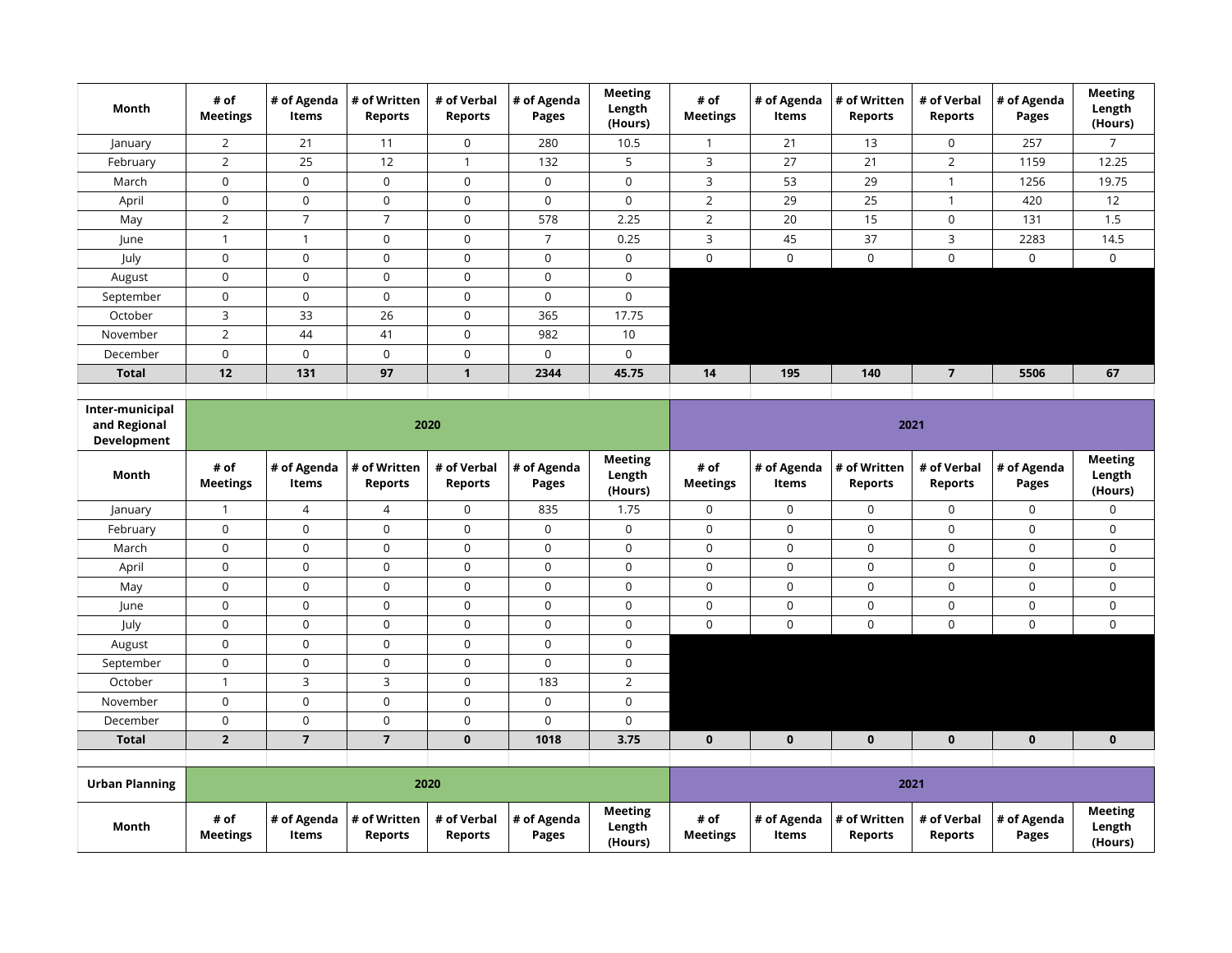| Month                                          | # of<br><b>Meetings</b> | # of Agenda<br>Items        | # of Written<br><b>Reports</b> | # of Verbal<br><b>Reports</b> | # of Agenda<br>Pages        | <b>Meeting</b><br>Length<br>(Hours) | # of<br><b>Meetings</b> | # of Agenda<br>Items        | # of Written<br><b>Reports</b> | # of Verbal<br><b>Reports</b> | # of Agenda<br>Pages | <b>Meeting</b><br>Length<br>(Hours) |  |
|------------------------------------------------|-------------------------|-----------------------------|--------------------------------|-------------------------------|-----------------------------|-------------------------------------|-------------------------|-----------------------------|--------------------------------|-------------------------------|----------------------|-------------------------------------|--|
| January                                        | $\overline{2}$          | 21                          | 11                             | $\mathsf{O}$                  | 280                         | 10.5                                | $\mathbf{1}$            | 21                          | 13                             | 0                             | 257                  | $\overline{7}$                      |  |
| February                                       | $\overline{2}$          | 25                          | 12                             | $\mathbf{1}$                  | 132                         | 5                                   | 3                       | 27                          | 21                             | $\overline{2}$                | 1159                 | 12.25                               |  |
| March                                          | $\mathbf 0$             | $\mathbf 0$                 | $\mathbf 0$                    | $\mathbf 0$                   | $\mathbf 0$                 | $\mathbf 0$                         | 3                       | 53                          | 29                             | $\mathbf{1}$                  | 1256                 | 19.75                               |  |
| April                                          | 0                       | $\mathsf{O}\xspace$         | $\mathbf 0$                    | $\mathsf 0$                   | $\mathsf{O}$                | $\mathbf 0$                         | $\overline{2}$          | 29                          | 25                             | $\mathbf{1}$                  | 420                  | 12                                  |  |
| May                                            | $\overline{2}$          | $\overline{7}$              | $\overline{7}$                 | $\mathsf{O}\xspace$           | 578                         | 2.25                                | $\overline{2}$          | 20                          | 15                             | 0                             | 131                  | 1.5                                 |  |
| June                                           | $\mathbf{1}$            | $\mathbf{1}$                | $\mathbf 0$                    | $\mathsf 0$                   | $\overline{7}$              | 0.25                                | 3                       | 45                          | 37                             | 3                             | 2283                 | 14.5                                |  |
| July                                           | $\mathsf{O}\xspace$     | $\mathsf 0$                 | $\mathsf 0$                    | $\mathsf{O}\xspace$           | $\mathsf 0$                 | $\mathsf{O}\xspace$                 | $\mathsf{O}$            | $\mathsf 0$                 | $\mathbf 0$                    | $\mathbf 0$                   | $\mathbf 0$          | $\mathsf{O}$                        |  |
| August                                         | $\mathsf 0$             | $\mathsf 0$                 | $\mathsf 0$                    | $\mathsf{O}\xspace$           | $\mathsf 0$                 | $\mathsf 0$                         |                         |                             |                                |                               |                      |                                     |  |
| September                                      | $\mathsf 0$             | $\mathsf 0$                 | $\mathsf 0$                    | $\mathsf{O}\xspace$           | $\pmb{0}$                   | $\mathbf 0$                         |                         |                             |                                |                               |                      |                                     |  |
| October                                        | $\mathsf{3}$            | 33                          | 26                             | $\mathsf{O}\xspace$           | 365                         | 17.75                               |                         |                             |                                |                               |                      |                                     |  |
| November                                       | $\overline{2}$          | 44                          | 41                             | $\mathsf{O}\xspace$           | 982                         | 10                                  |                         |                             |                                |                               |                      |                                     |  |
| December                                       | $\mathsf 0$             | $\mathbf 0$                 | $\mathbf 0$                    | $\mathsf{O}\xspace$           | $\mathbf 0$                 | $\mathsf 0$                         |                         |                             |                                |                               |                      |                                     |  |
| <b>Total</b>                                   | 12                      | 131                         | 97                             | $\mathbf{1}$                  | 2344                        | 45.75                               | 14                      | 195                         | 140                            | $\overline{7}$                | 5506                 | 67                                  |  |
|                                                |                         |                             |                                |                               |                             |                                     |                         |                             |                                |                               |                      |                                     |  |
| Inter-municipal<br>and Regional<br>Development |                         |                             | 2020                           |                               |                             |                                     | 2021                    |                             |                                |                               |                      |                                     |  |
| Month                                          | # of<br><b>Meetings</b> | # of Agenda<br>Items        | # of Written<br><b>Reports</b> | # of Verbal<br><b>Reports</b> | # of Agenda<br><b>Pages</b> | <b>Meeting</b><br>Length<br>(Hours) | # of<br><b>Meetings</b> | # of Agenda<br>Items        | # of Written<br><b>Reports</b> | # of Verbal<br><b>Reports</b> | # of Agenda<br>Pages | <b>Meeting</b><br>Length<br>(Hours) |  |
| January                                        | $\mathbf{1}$            | 4                           | 4                              | $\mathsf{O}\xspace$           | 835                         | 1.75                                | $\mathsf{O}$            | $\pmb{0}$                   | 0                              | 0                             | $\mathbf 0$          | 0                                   |  |
| February                                       | $\mathsf 0$             | $\mathbf 0$                 | $\mathbf 0$                    | $\mathsf{O}\xspace$           | $\mathbf 0$                 | $\mathbf 0$                         | 0                       | $\mathsf 0$                 | $\mathbf 0$                    | 0                             | $\mathbf 0$          | 0                                   |  |
| March                                          | $\pmb{0}$               | $\pmb{0}$                   | 0                              | $\mathbf 0$                   | 0                           | $\mathbf 0$                         | 0                       | $\mathsf 0$                 | $\mathbf 0$                    | 0                             | $\mathbf 0$          | 0                                   |  |
| April                                          | $\mathsf 0$             | $\mathsf{O}\xspace$         | $\mathsf 0$                    | $\mathsf 0$                   | $\mathbf 0$                 | $\mathsf 0$                         | $\mathsf{O}\xspace$     | $\mathsf 0$                 | $\mathsf 0$                    | 0                             | $\mathbf 0$          | 0                                   |  |
| May                                            | $\mathbf 0$             | $\mathbf 0$                 | $\mathbf 0$                    | $\mathbf 0$                   | $\mathsf{O}$                | $\mathbf 0$                         | $\mathsf{O}$            | $\mathsf 0$                 | $\mathsf{O}$                   | 0                             | $\mathbf 0$          | $\mathsf{O}$                        |  |
| June                                           | $\mathsf 0$             | $\mathsf 0$                 | $\mathsf 0$                    | $\mathsf 0$                   | $\mathsf 0$                 | $\mathbf 0$                         | $\mathsf{O}\xspace$     | $\mathsf 0$                 | $\mathsf 0$                    | 0                             | $\mathsf{O}\xspace$  | 0                                   |  |
| July                                           | $\mathsf 0$             | $\mathsf 0$                 | $\mathsf 0$                    | $\mathsf 0$                   | $\mathsf 0$                 | $\mathbf 0$                         | 0                       | $\mathbf 0$                 | $\mathsf 0$                    | 0                             | $\mathbf 0$          | 0                                   |  |
| August                                         | $\mathsf 0$             | $\mathsf 0$                 | $\mathsf 0$                    | $\mathsf{O}\xspace$           | $\pmb{0}$                   | $\mathsf 0$                         |                         |                             |                                |                               |                      |                                     |  |
| September                                      | $\mathsf 0$             | $\mathsf 0$                 | $\mathsf 0$                    | $\mathsf{O}$                  | $\mathsf 0$                 | $\mathsf 0$                         |                         |                             |                                |                               |                      |                                     |  |
| October                                        | $\mathbf{1}$            | 3                           | 3                              | $\mathsf{O}\xspace$           | 183                         | $\overline{2}$                      |                         |                             |                                |                               |                      |                                     |  |
| November                                       | $\mathsf 0$             | $\mathsf{O}\xspace$         | $\mathsf{O}\xspace$            | $\mathsf{O}\xspace$           | $\mathsf 0$                 | $\mathsf 0$                         |                         |                             |                                |                               |                      |                                     |  |
| December                                       | $\mathsf 0$             | $\mathbf 0$                 | $\mathbf 0$                    | $\mathsf{O}\xspace$           | 0                           | $\mathbf 0$                         |                         |                             |                                |                               |                      |                                     |  |
| <b>Total</b>                                   | $\mathbf 2$             | $\overline{7}$              | $\overline{\mathbf{z}}$        | $\mathbf 0$                   | 1018                        | 3.75                                | 0                       | $\mathbf{0}$                | $\mathbf{0}$                   | $\mathbf{0}$                  | $\mathbf 0$          | $\mathbf 0$                         |  |
|                                                |                         |                             |                                |                               |                             |                                     |                         |                             |                                |                               |                      |                                     |  |
| <b>Urban Planning</b>                          |                         |                             | 2020                           |                               |                             |                                     |                         |                             |                                | 2021                          |                      |                                     |  |
| Month                                          | # of<br><b>Meetings</b> | # of Agenda<br><b>Items</b> | # of Written<br><b>Reports</b> | # of Verbal<br><b>Reports</b> | # of Agenda<br>Pages        | <b>Meeting</b><br>Length<br>(Hours) | # of<br><b>Meetings</b> | # of Agenda<br><b>Items</b> | # of Written<br><b>Reports</b> | # of Verbal<br><b>Reports</b> | # of Agenda<br>Pages | <b>Meeting</b><br>Length<br>(Hours) |  |